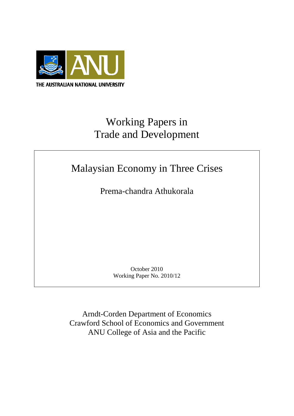

# Working Papers in Trade and Development

# Malaysian Economy in Three Crises

Prema-chandra Athukorala

October 2010 Working Paper No. 2010/12

Arndt-Corden Department of Economics Crawford School of Economics and Government ANU College of Asia and the Pacific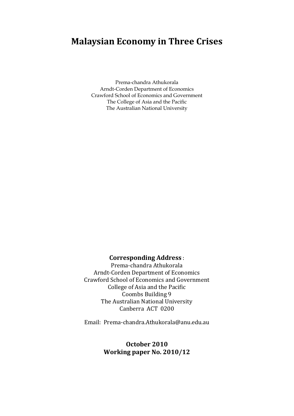# **Malaysian Economy in Three Crises**

Prema-chandra Athukorala Arndt-Corden Department of Economics Crawford School of Economics and Government The College of Asia and the Pacific The Australian National University

## **Corresponding Address** :

Prema-chandra Athukorala Arndt-Corden Department of Economics Crawford School of Economics and Government College of Asia and the Pacific Coombs Building 9 The Australian National University Canberra ACT 0200

Email: Prema-chandra.Athukorala@anu.edu.au

### **October 2010 Working paper No. 2010/12**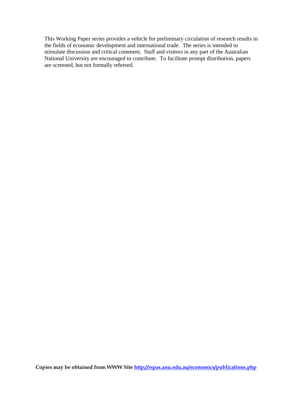This Working Paper series provides a vehicle for preliminary circulation of research results in the fields of economic development and international trade. The series is intended to stimulate discussion and critical comment. Staff and visitors in any part of the Australian National University are encouraged to contribute. To facilitate prompt distribution, papers are screened, but not formally refereed.

**Copies may be obtained from WWW Site<http://rspas.anu.edu.au/economics/publications.php>**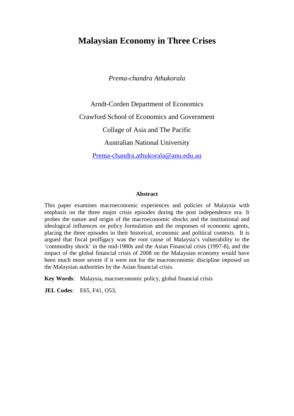# **Malaysian Economy in Three Crises**

*Prema-chandra Athukorala*

Arndt-Corden Department of Economics Crawford School of Economics and Government Collage of Asia and The Pacific Australian National University [Prema-chandra.athukorala@anu.edu.au](mailto:Prema-chandra.athukorala@anu.edu.au)

#### **Abstract**

This paper examines macroeconomic experiences and policies of Malaysia with emphasis on the three major crisis episodes during the post independence era. It probes the nature and origin of the macroeconomic shocks and the institutional and ideological influences on policy formulation and the responses of economic agents, placing the three episodes in their historical, economic and political contexts. It is argued that fiscal profligacy was the root cause of Malaysia's vulnerability to the 'commodity shock' in the mid-1980s and the Asian Financial crisis (1997-8), and the impact of the global financial crisis of 2008 on the Malaysian economy would have been much more severe if it were not for the macroeconomic discipline *imposed* on the Malaysian authorities by the Asian financial crisis.

**Key Words**: Malaysia, macroeconomic policy, global financial crisis

**JEL Codes**: E65, F41, O53,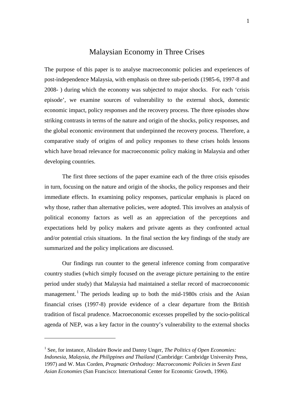### Malaysian Economy in Three Crises

The purpose of this paper is to analyse macroeconomic policies and experiences of post-independence Malaysia, with emphasis on three sub-periods (1985-6, 1997-8 and 2008- ) during which the economy was subjected to major shocks. For each 'crisis episode', we examine sources of vulnerability to the external shock, domestic economic impact, policy responses and the recovery process. The three episodes show striking contrasts in terms of the nature and origin of the shocks, policy responses, and the global economic environment that underpinned the recovery process. Therefore, a comparative study of origins of and policy responses to these crises holds lessons which have broad relevance for macroeconomic policy making in Malaysia and other developing countries.

The first three sections of the paper examine each of the three crisis episodes in turn, focusing on the nature and origin of the shocks, the policy responses and their immediate effects. In examining policy responses, particular emphasis is placed on why those, rather than alternative policies, were adopted. This involves an analysis of political economy factors as well as an appreciation of the perceptions and expectations held by policy makers and private agents as they confronted actual and/or potential crisis situations. In the final section the key findings of the study are summarized and the policy implications are discussed.

Our findings run counter to the general inference coming from comparative country studies (which simply focused on the average picture pertaining to the entire period under study) that Malaysia had maintained a stellar record of macroeconomic management.<sup>[1](#page-5-0)</sup> The periods leading up to both the mid-1980s crisis and the Asian financial crises (1997-8) provide evidence of a clear departure from the British tradition of fiscal prudence. Macroeconomic excesses propelled by the socio-political agenda of NEP, was a key factor in the country's vulnerability to the external shocks

<span id="page-5-0"></span><sup>&</sup>lt;sup>1</sup> See, for instance, Alisdaire Bowie and Danny Unger, *The Politics of Open Economies*: *Indonesia, Malaysia, the Philippines and Thailand* (Cambridge: Cambridge University Press, 1997) and W. Max Corden, *Pragmatic Orthodoxy: Macroeconomic Policies in Seven East Asian Economies* (San Francisco: International Center for Economic Growth, 1996).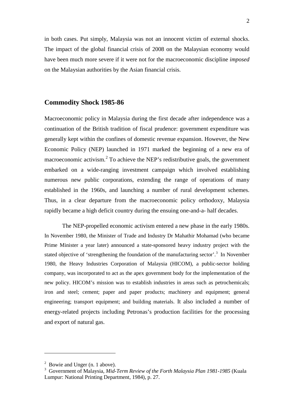in both cases. Put simply, Malaysia was not an innocent victim of external shocks. The impact of the global financial crisis of 2008 on the Malaysian economy would have been much more severe if it were not for the macroeconomic discipline *imposed* on the Malaysian authorities by the Asian financial crisis.

#### **Commodity Shock 1985-86**

Macroeconomic policy in Malaysia during the first decade after independence was a continuation of the British tradition of fiscal prudence: government expenditure was generally kept within the confines of domestic revenue expansion. However, the New Economic Policy (NEP) launched in 1971 marked the beginning of a new era of macroeconomic activism. $2$  To achieve the NEP's redistributive goals, the government embarked on a wide-ranging investment campaign which involved establishing numerous new public corporations, extending the range of operations of many established in the 1960s, and launching a number of rural development schemes. Thus, in a clear departure from the macroeconomic policy orthodoxy, Malaysia rapidly became a high deficit country during the ensuing one-and-a- half decades.

The NEP-propelled economic activism entered a new phase in the early 1980s. In November 1980, the Minister of Trade and Industry Dr Mahathir Mohamad (who became Prime Minister a year later) announced a state-sponsored heavy industry project with the stated objective of 'strengthening the foundation of the manufacturing sector'.<sup>[3](#page-6-1)</sup> In November 1980, the Heavy Industries Corporation of Malaysia (HICOM), a public-sector holding company, was incorporated to act as the apex government body for the implementation of the new policy. HICOM's mission was to establish industries in areas such as petrochemicals; iron and steel; cement; paper and paper products; machinery and equipment; general engineering; transport equipment; and building materials. It also included a number of energy-related projects including Petronas's production facilities for the processing and export of natural gas.

<span id="page-6-0"></span> $2$  Bowie and Unger (n. 1 above).

<span id="page-6-1"></span><sup>3</sup> Government of Malaysia, *Mid-Term Review of the Forth Malaysia Plan 1981-1985* (Kuala Lumpur: National Printing Department, 1984), p. 27.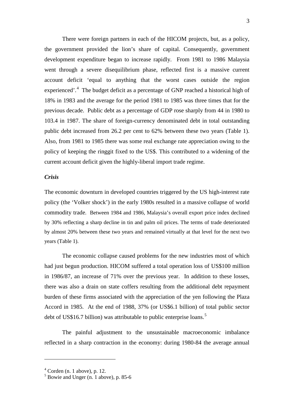There were foreign partners in each of the HICOM projects, but, as a policy, the government provided the lion's share of capital. Consequently, government development expenditure began to increase rapidly. From 1981 to 1986 Malaysia went through a severe disequilibrium phase, reflected first is a massive current account deficit 'equal to anything that the worst cases outside the region experienced'.<sup>[4](#page-7-0)</sup> The budget deficit as a percentage of GNP reached a historical high of 18% in 1983 and the average for the period 1981 to 1985 was three times that for the previous decade. Public debt as a percentage of GDP rose sharply from 44 in 1980 to 103.4 in 1987. The share of foreign-currency denominated debt in total outstanding public debt increased from 26.2 per cent to 62% between these two years (Table 1). Also, from 1981 to 1985 there was some real exchange rate appreciation owing to the policy of keeping the ringgit fixed to the US\$. This contributed to a widening of the current account deficit given the highly-liberal import trade regime.

#### *Crisis*

The economic downturn in developed countries triggered by the US high-interest rate policy (the 'Volker shock') in the early 1980s resulted in a massive collapse of world commodity trade. Between 1984 and 1986, Malaysia's overall export price index declined by 30% reflecting a sharp decline in tin and palm oil prices. The terms of trade deteriorated by almost 20% between these two years and remained virtually at that level for the next two years (Table 1).

The economic collapse caused problems for the new industries most of which had just begun production. HICOM suffered a total operation loss of US\$100 million in 1986/87, an increase of 71% over the previous year. In addition to these losses, there was also a drain on state coffers resulting from the additional debt repayment burden of these firms associated with the appreciation of the yen following the Plaza Accord in 1985. At the end of 1988, 37% (or US\$6.1 billion) of total public sector debt of US\$16.7 billion) was attributable to public enterprise loans.<sup>[5](#page-7-1)</sup>

The painful adjustment to the unsustainable macroeconomic imbalance reflected in a sharp contraction in the economy: during 1980-84 the average annual

<span id="page-7-0"></span> $4$  Corden (n. 1 above), p. 12.

<span id="page-7-1"></span> $<sup>5</sup>$  Bowie and Unger (n. 1 above), p. 85-6</sup>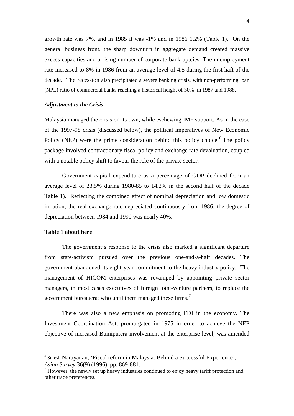growth rate was 7%, and in 1985 it was -1% and in 1986 1.2% (Table 1). On the general business front, the sharp downturn in aggregate demand created massive excess capacities and a rising number of corporate bankruptcies. The unemployment rate increased to 8% in 1986 from an average level of 4.5 during the first haft of the decade. The recession also precipitated a severe banking crisis, with non-performing loan (NPL) ratio of commercial banks reaching a historical height of 30% in 1987 and 1988.

#### *Adjustment to the Crisis*

Malaysia managed the crisis on its own, while eschewing IMF support. As in the case of the 1997-98 crisis (discussed below), the political imperatives of New Economic Policy (NEP) were the prime consideration behind this policy choice.<sup>[6](#page-8-0)</sup> The policy package involved contractionary fiscal policy and exchange rate devaluation, coupled with a notable policy shift to favour the role of the private sector.

Government capital expenditure as a percentage of GDP declined from an average level of 23.5% during 1980-85 to 14.2% in the second half of the decade Table 1). Reflecting the combined effect of nominal depreciation and low domestic inflation, the real exchange rate depreciated continuously from 1986: the degree of depreciation between 1984 and 1990 was nearly 40%.

#### **Table 1 about here**

.<br>-

The government's response to the crisis also marked a significant departure from state-activism pursued over the previous one-and-a-half decades. The government abandoned its eight-year commitment to the heavy industry policy. The management of HICOM enterprises was revamped by appointing private sector managers, in most cases executives of foreign joint-venture partners, to replace the government bureaucrat who until them managed these firms.<sup>[7](#page-8-1)</sup>

There was also a new emphasis on promoting FDI in the economy. The Investment Coordination Act, promulgated in 1975 in order to achieve the NEP objective of increased Bumiputera involvement at the enterprise level, was amended

<span id="page-8-0"></span><sup>&</sup>lt;sup>6</sup> Suresh Narayanan, 'Fiscal reform in Malaysia: Behind a Successful Experience', *Asian Survey* 36(9) (1996), pp. 869-881.

<span id="page-8-1"></span> $<sup>7</sup>$  However, the newly set up heavy industries continued to enjoy heavy tariff protection and</sup> other trade preferences.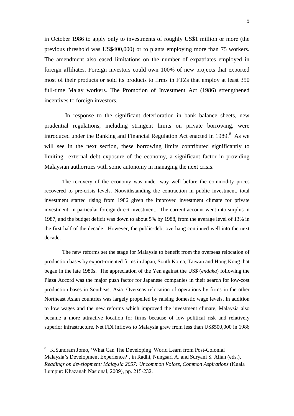in October 1986 to apply only to investments of roughly US\$1 million or more (the previous threshold was US\$400,000) or to plants employing more than 75 workers. The amendment also eased limitations on the number of expatriates employed in foreign affiliates. Foreign investors could own 100% of new projects that exported most of their products or sold its products to firms in FTZs that employ at least 350 full-time Malay workers. The Promotion of Investment Act (1986) strengthened incentives to foreign investors.

 In response to the significant deterioration in bank balance sheets, new prudential regulations, including stringent limits on private borrowing, were introduced under the Banking and Financial Regulation Act enacted in 19[8](#page-9-0)9. $8$  As we will see in the next section, these borrowing limits contributed significantly to limiting external debt exposure of the economy, a significant factor in providing Malaysian authorities with some autonomy in managing the next crisis.

The recovery of the economy was under way well before the commodity prices recovered to pre-crisis levels. Notwithstanding the contraction in public investment, total investment started rising from 1986 given the improved investment climate for private investment, in particular foreign direct investment. The current account went into surplus in 1987, and the budget deficit was down to about 5% by 1988, from the average level of 13% in the first half of the decade. However, the public-debt overhang continued well into the next decade.

The new reforms set the stage for Malaysia to benefit from the overseas relocation of production bases by export-oriented firms in Japan, South Korea, Taiwan and Hong Kong that began in the late 1980s. The appreciation of the Yen against the US\$ (*endaka*) following the Plaza Accord was the major push factor for Japanese companies in their search for low-cost production bases in Southeast Asia. Overseas relocation of operations by firms in the other Northeast Asian countries was largely propelled by raising domestic wage levels. In addition to low wages and the new reforms which improved the investment climate, Malaysia also became a more attractive location for firms because of low political risk and relatively superior infrastructure. Net FDI inflows to Malaysia grew from less than US\$500,000 in 1986

<span id="page-9-0"></span><sup>8</sup> K.Sundram Jomo, 'What Can The Developing World Learn from Post-Colonial Malaysia's Development Experience?', in Radhi, Nungsari A. and Suryani S. Alian (eds.), *Readings on development: Malaysia 2057: Uncommon Voices, Common Aspirations* (Kuala Lumpur: Khazanah Nasional, 2009), pp. 215-232.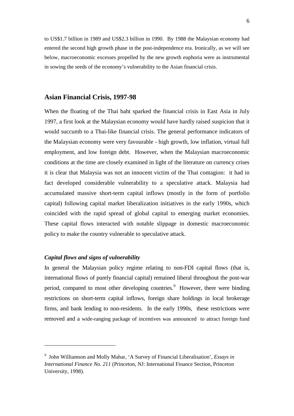to US\$1.7 billion in 1989 and US\$2.3 billion in 1990. By 1988 the Malaysian economy had entered the second high growth phase in the post-independence era. Ironically, as we will see below, macroeconomic excesses propelled by the new growth euphoria were as instrumental in sowing the seeds of the economy's vulnerability to the Asian financial crisis.

#### **Asian Financial Crisis, 1997-98**

When the floating of the Thai baht sparked the financial crisis in East Asia in July 1997, a first look at the Malaysian economy would have hardly raised suspicion that it would succumb to a Thai-like financial crisis. The general performance indicators of the Malaysian economy were very favourable - high growth, low inflation, virtual full employment, and low foreign debt. However, when the Malaysian macroeconomic conditions at the time are closely examined in light of the literature on currency crises it is clear that Malaysia was not an innocent victim of the Thai contagion: it had in fact developed considerable vulnerability to a speculative attack. Malaysia had accumulated massive short-term capital inflows (mostly in the form of portfolio capital) following capital market liberalization initiatives in the early 1990s, which coincided with the rapid spread of global capital to emerging market economies. These capital flows interacted with notable slippage in domestic macroeconomic policy to make the country vulnerable to speculative attack.

#### *Capital flows and signs of vulnerability*

.<br>-

In general the Malaysian policy regime relating to non-FDI capital flows (that is, international flows of purely financial capital) remained liberal throughout the post-war period, compared to most other developing countries.<sup>[9](#page-10-0)</sup> However, there were binding restrictions on short-term capital inflows, foreign share holdings in local brokerage firms, and bank lending to non-residents. In the early 1990s, these restrictions were removed and a wide-ranging package of incentives was announced to attract foreign fund

<span id="page-10-0"></span><sup>9</sup> John Williamson and Molly Mahar, 'A Survey of Financial Liberalisation', *Essays in International Finance No. 211* (Princeton, NJ: International Finance Section, Princeton University, 1998).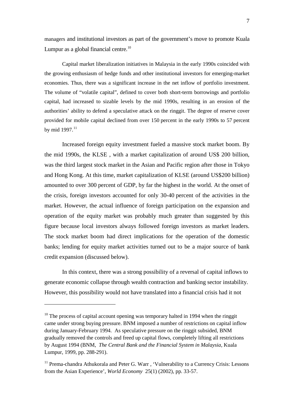managers and institutional investors as part of the government's move to promote Kuala Lumpur as a global financial centre.<sup>[10](#page-11-0)</sup>

Capital market liberalization initiatives in Malaysia in the early 1990s coincided with the growing enthusiasm of hedge funds and other institutional investors for emerging-market economies. Thus, there was a significant increase in the net inflow of portfolio investment. The volume of "volatile capital", defined to cover both short-term borrowings and portfolio capital, had increased to sizable levels by the mid 1990s, resulting in an erosion of the authorities' ability to defend a speculative attack on the ringgit. The degree of reserve cover provided for mobile capital declined from over 150 percent in the early 1990s to 57 percent by mid 1997.<sup>[11](#page-11-1)</sup>

Increased foreign equity investment fueled a massive stock market boom. By the mid 1990s, the KLSE , with a market capitalization of around US\$ 200 billion, was the third largest stock market in the Asian and Pacific region after those in Tokyo and Hong Kong. At this time, market capitalization of KLSE (around US\$200 billion) amounted to over 300 percent of GDP, by far the highest in the world. At the onset of the crisis, foreign investors accounted for only 30-40 percent of the activities in the market. However, the actual influence of foreign participation on the expansion and operation of the equity market was probably much greater than suggested by this figure because local investors always followed foreign investors as market leaders. The stock market boom had direct implications for the operation of the domestic banks; lending for equity market activities turned out to be a major source of bank credit expansion (discussed below).

In this context, there was a strong possibility of a reversal of capital inflows to generate economic collapse through wealth contraction and banking sector instability. However, this possibility would not have translated into a financial crisis had it not

.

<span id="page-11-0"></span> $10$  The process of capital account opening was temporary halted in 1994 when the ringgit came under strong buying pressure. BNM imposed a number of restrictions on capital inflow during January-February 1994. As speculative pressure on the ringgit subsided, BNM gradually removed the controls and freed up capital flows, completely lifting all restrictions by August 1994 (BNM, *The Central Bank and the Financial System in Malaysia*, Kuala Lumpur, 1999, pp. 288-291).

<span id="page-11-1"></span> $11$  Prema-chandra Athukorala and Peter G. Warr, 'Vulnerability to a Currency Crisis: Lessons from the Asian Experience', *World Economy* 25(1) (2002), pp. 33-57.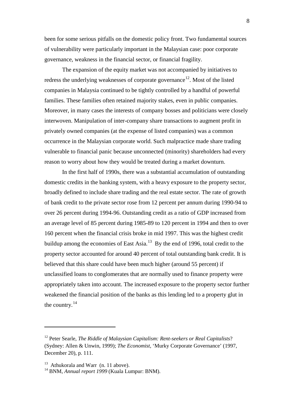been for some serious pitfalls on the domestic policy front. Two fundamental sources of vulnerability were particularly important in the Malaysian case: poor corporate governance, weakness in the financial sector, or financial fragility.

The expansion of the equity market was not accompanied by initiatives to redress the underlying weaknesses of corporate governance<sup>[12](#page-12-0)</sup>. Most of the listed companies in Malaysia continued to be tightly controlled by a handful of powerful families. These families often retained majority stakes, even in public companies. Moreover, in many cases the interests of company bosses and politicians were closely interwoven. Manipulation of inter-company share transactions to augment profit in privately owned companies (at the expense of listed companies) was a common occurrence in the Malaysian corporate world. Such malpractice made share trading vulnerable to financial panic because unconnected (minority) shareholders had every reason to worry about how they would be treated during a market downturn.

In the first half of 1990s, there was a substantial accumulation of outstanding domestic credits in the banking system, with a heavy exposure to the property sector, broadly defined to include share trading and the real estate sector. The rate of growth of bank credit to the private sector rose from 12 percent per annum during 1990-94 to over 26 percent during 1994-96. Outstanding credit as a ratio of GDP increased from an average level of 85 percent during 1985-89 to 120 percent in 1994 and then to over 160 percent when the financial crisis broke in mid 1997. This was the highest credit buildup among the economies of East Asia.<sup>[13](#page-12-1)</sup> By the end of 1996, total credit to the property sector accounted for around 40 percent of total outstanding bank credit. It is believed that this share could have been much higher (around 55 percent) if unclassified loans to conglomerates that are normally used to finance property were appropriately taken into account. The increased exposure to the property sector further weakened the financial position of the banks as this lending led to a property glut in the country. $^{14}$  $^{14}$  $^{14}$ 

.<br>-

<span id="page-12-0"></span><sup>12</sup> Peter Searle, *The Riddle of Malaysian Capitalism: Rent-seekers or Real Capitalists*? (Sydney: Allen & Unwin, 1999); *The Economist*, 'Murky Corporate Governance' (1997, December 20), p. 111.

<span id="page-12-1"></span> $13$  Athukorala and Warr (n. 11 above).

<span id="page-12-2"></span><sup>14</sup> BNM, *Annual report 1999* (Kuala Lumpur: BNM).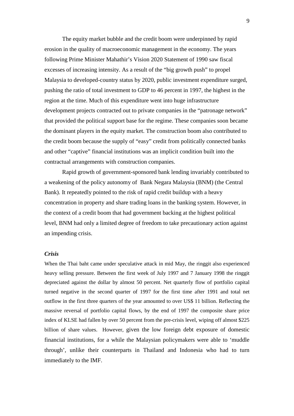The equity market bubble and the credit boom were underpinned by rapid erosion in the quality of macroeconomic management in the economy. The years following Prime Minister Mahathir's Vision 2020 Statement of 1990 saw fiscal excesses of increasing intensity. As a result of the "big growth push" to propel Malaysia to developed-country status by 2020, public investment expenditure surged, pushing the ratio of total investment to GDP to 46 percent in 1997, the highest in the region at the time. Much of this expenditure went into huge infrastructure development projects contracted out to private companies in the "patronage network" that provided the political support base for the regime. These companies soon became the dominant players in the equity market. The construction boom also contributed to the credit boom because the supply of "easy" credit from politically connected banks and other "captive" financial institutions was an implicit condition built into the contractual arrangements with construction companies.

Rapid growth of government-sponsored bank lending invariably contributed to a weakening of the policy autonomy of Bank Negara Malaysia (BNM) (the Central Bank). It repeatedly pointed to the risk of rapid credit buildup with a heavy concentration in property and share trading loans in the banking system. However, in the context of a credit boom that had government backing at the highest political level, BNM had only a limited degree of freedom to take precautionary action against an impending crisis.

#### *Crisis*

When the Thai baht came under speculative attack in mid May, the ringgit also experienced heavy selling pressure. Between the first week of July 1997 and 7 January 1998 the ringgit depreciated against the dollar by almost 50 percent. Net quarterly flow of portfolio capital turned negative in the second quarter of 1997 for the first time after 1991 and total net outflow in the first three quarters of the year amounted to over US\$ 11 billion. Reflecting the massive reversal of portfolio capital flows, by the end of 1997 the composite share price index of KLSE had fallen by over 50 percent from the pre-crisis level, wiping off almost \$225 billion of share values. However, given the low foreign debt exposure of domestic financial institutions, for a while the Malaysian policymakers were able to 'muddle through', unlike their counterparts in Thailand and Indonesia who had to turn immediately to the IMF.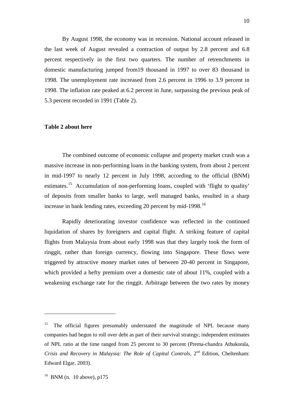By August 1998, the economy was in recession. National account released in the last week of August revealed a contraction of output by 2.8 percent and 6.8 percent respectively in the first two quarters. The number of retrenchments in domestic manufacturing jumped from19 thousand in 1997 to over 83 thousand in 1998. The unemployment rate increased from 2.6 percent in 1996 to 3.9 percent in 1998. The inflation rate peaked at 6.2 percent in June, surpassing the previous peak of 5.3 percent recorded in 1991 (Table 2).

#### **Table 2 about here**

 The combined outcome of economic collapse and property market crash was a massive increase in non-performing loans in the banking system, from about 2 percent in mid-1997 to nearly 12 percent in July 1998, according to the official (BNM) estimates.<sup>[15](#page-14-0)</sup> Accumulation of non-performing loans, coupled with 'flight to quality' of deposits from smaller banks to large, well managed banks, resulted in a sharp increase in bank lending rates, exceeding 20 percent by mid-1998.<sup>[16](#page-14-1)</sup>

Rapidly deteriorating investor confidence was reflected in the continued liquidation of shares by foreigners and capital flight. A striking feature of capital flights from Malaysia from about early 1998 was that they largely took the form of ringgit, rather than foreign currency, flowing into Singapore. These flows were triggered by attractive money market rates of between 20-40 percent in Singapore, which provided a hefty premium over a domestic rate of about 11%, coupled with a weakening exchange rate for the ringgit. Arbitrage between the two rates by money

.<br>-

<span id="page-14-1"></span><span id="page-14-0"></span><sup>15</sup> The official figures presumably understated the magnitude of NPL because many companies had begun to roll over debt as part of their survival strategy; independent estimates of NPL ratio at the time ranged from 25 percent to 30 percent (Prema-chandra Athukorala, *Crisis and Recovery in Malaysia: The Role of Capital Controls*, 2<sup>nd</sup> Edition, Cheltenham: Edward Elgar, 2003).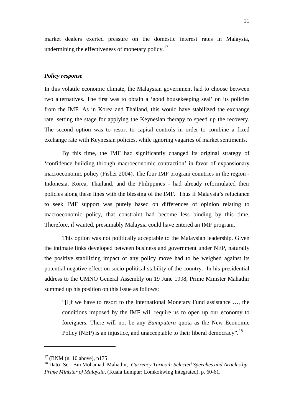market dealers exerted pressure on the domestic interest rates in Malaysia, undermining the effectiveness of monetary policy. $17$ 

#### *Policy response*

In this volatile economic climate, the Malaysian government had to choose between two alternatives. The first was to obtain a 'good housekeeping seal' on its policies from the IMF. As in Korea and Thailand, this would have stabilized the exchange rate, setting the stage for applying the Keynesian therapy to speed up the recovery. The second option was to resort to capital controls in order to combine a fixed exchange rate with Keynesian policies, while ignoring vagaries of market sentiments.

By this time, the IMF had significantly changed its original strategy of 'confidence building through macroeconomic contraction' in favor of expansionary macroeconomic policy (Fisher 2004). The four IMF program countries in the region - Indonesia, Korea, Thailand, and the Philippines - had already reformulated their policies along these lines with the blessing of the IMF. Thus if Malaysia's reluctance to seek IMF support was purely based on differences of opinion relating to macroeconomic policy, that constraint had become less binding by this time. Therefore, if wanted, presumably Malaysia could have entered an IMF program.

This option was not politically acceptable to the Malaysian leadership. Given the intimate links developed between business and government under NEP, naturally the positive stabilizing impact of any policy move had to be weighed against its potential negative effect on socio-political stability of the country. In his presidential address to the UMNO General Assembly on 19 June 1998, Prime Minister Mahathir summed up his position on this issue as follows:

"[I]f we have to resort to the International Monetary Fund assistance …, the conditions imposed by the IMF will require us to open up our economy to foreigners. There will not be any *Bumiputera* quota as the New Economic Policy (NEP) is an injustice, and unacceptable to their liberal democracy".<sup>[18](#page-15-1)</sup>

<span id="page-15-0"></span> $17$  (BNM (n. 10 above), p175

<span id="page-15-1"></span><sup>18</sup> Dato' Seri Bin Mohamad Mahathir, *Currency Turmoil: Selected Speeches and Articles by Prime Minister of Malaysia*, (Kuala Lumpur: Lomkokwing Integrated), p. 60-61.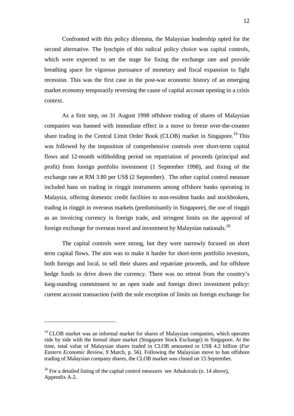Confronted with this policy dilemma, the Malaysian leadership opted for the second alternative. The lynchpin of this radical policy choice was capital controls, which were expected to set the stage for fixing the exchange rate and provide breathing space for vigorous pursuance of monetary and fiscal expansion to fight recession. This was the first case in the post-war economic history of an emerging market economy temporarily reversing the cause of capital account opening in a crisis context.

As a first step, on 31 August 1998 offshore trading of shares of Malaysian companies was banned with immediate effect in a move to freeze over-the-counter share trading in the Central Limit Order Book (CLOB) market in Singapore.<sup>[19](#page-16-0)</sup> This was followed by the imposition of comprehensive controls over short-term capital flows and 12-month withholding period on repatriation of proceeds (principal and profit) from foreign portfolio investment (1 September 1998), and fixing of the exchange rate at RM 3.80 per US\$ (2 September). The other capital control measure included bans on trading in ringgit instruments among offshore banks operating in Malaysia, offering domestic credit facilities to non-resident banks and stockbrokers, trading in ringgit in overseas markets (predominantly in Singapore), the use of ringgit as an invoicing currency in foreign trade, and stringent limits on the approval of foreign exchange for overseas travel and investment by Malaysian nationals.<sup>[20](#page-16-1)</sup>

The capital controls were strong, but they were narrowly focused on short term capital flows. The aim was to make it harder for short-term portfolio investors, both foreign and local, to sell their shares and repatriate proceeds, and for offshore hedge funds to drive down the currency. There was no retreat from the country's long-standing commitment to an open trade and foreign direct investment policy: current account transaction (with the sole exception of limits on foreign exchange for

<span id="page-16-0"></span> $19$  CLOB market was an informal market for shares of Malaysian companies, which operates side by side with the formal share market (Singapore Stock Exchange) in Singapore. At the time, total value of Malaysian shares traded in CLOB amounted to US\$ 4.2 billion (*Far Eastern Economic Review*, 9 March, p. 56). Following the Malaysian move to ban offshore trading of Malaysian company shares, the CLOB market was closed on 15 September.

<span id="page-16-1"></span> $20$  For a detailed listing of the capital control measures see Athukorala (n. 14 above). Appendix A-2.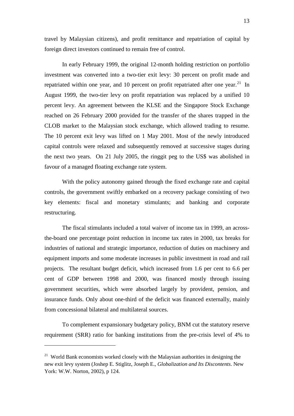travel by Malaysian citizens), and profit remittance and repatriation of capital by foreign direct investors continued to remain free of control.

In early February 1999, the original 12-month holding restriction on portfolio investment was converted into a two-tier exit levy: 30 percent on profit made and repatriated within one year, and 10 percent on profit repatriated after one year.<sup>[21](#page-17-0)</sup> In August 1999, the two-tier levy on profit repatriation was replaced by a unified 10 percent levy. An agreement between the KLSE and the Singapore Stock Exchange reached on 26 February 2000 provided for the transfer of the shares trapped in the CLOB market to the Malaysian stock exchange, which allowed trading to resume. The 10 percent exit levy was lifted on 1 May 2001. Most of the newly introduced capital controls were relaxed and subsequently removed at successive stages during the next two years. On 21 July 2005, the ringgit peg to the US\$ was abolished in favour of a managed floating exchange rate system.

With the policy autonomy gained through the fixed exchange rate and capital controls, the government swiftly embarked on a recovery package consisting of two key elements: fiscal and monetary stimulants; and banking and corporate restructuring.

The fiscal stimulants included a total waiver of income tax in 1999, an acrossthe-board one percentage point reduction in income tax rates in 2000, tax breaks for industries of national and strategic importance, reduction of duties on machinery and equipment imports and some moderate increases in public investment in road and rail projects. The resultant budget deficit, which increased from 1.6 per cent to 6.6 per cent of GDP between 1998 and 2000, was financed mostly through issuing government securities, which were absorbed largely by provident, pension, and insurance funds. Only about one-third of the deficit was financed externally, mainly from concessional bilateral and multilateral sources.

To complement expansionary budgetary policy, BNM cut the statutory reserve requirement (SRR) ratio for banking institutions from the pre-crisis level of 4% to

.<br>-

<span id="page-17-0"></span><sup>&</sup>lt;sup>21</sup> World Bank economists worked closely with the Malaysian authorities in designing the new exit levy system (Joshep E. Stiglitz, Joseph E., *Globalization and Its Discontents*. New York: W.W. Norton, 2002), p 124.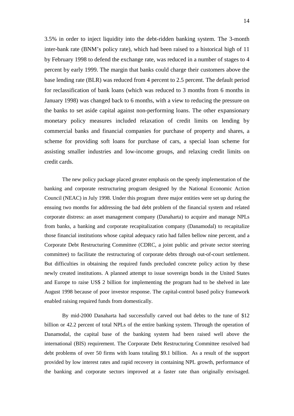3.5% in order to inject liquidity into the debt-ridden banking system. The 3-month inter-bank rate (BNM's policy rate), which had been raised to a historical high of 11 by February 1998 to defend the exchange rate, was reduced in a number of stages to 4 percent by early 1999. The margin that banks could charge their customers above the base lending rate (BLR) was reduced from 4 percent to 2.5 percent. The default period for reclassification of bank loans (which was reduced to 3 months from 6 months in January 1998) was changed back to 6 months, with a view to reducing the pressure on the banks to set aside capital against non-performing loans. The other expansionary monetary policy measures included relaxation of credit limits on lending by commercial banks and financial companies for purchase of property and shares, a scheme for providing soft loans for purchase of cars, a special loan scheme for assisting smaller industries and low-income groups, and relaxing credit limits on credit cards.

The new policy package placed greater emphasis on the speedy implementation of the banking and corporate restructuring program designed by the National Economic Action Council (NEAC) in July 1998. Under this program three major entities were set up during the ensuing two months for addressing the bad debt problem of the financial system and related corporate distress: an asset management company (Danaharta) to acquire and manage NPLs from banks, a banking and corporate recapitalization company (Danamodal) to recapitalize those financial institutions whose capital adequacy ratio had fallen bellow nine percent, and a Corporate Debt Restructuring Committee (CDRC, a joint public and private sector steering committee) to facilitate the restructuring of corporate debts through out-of-court settlement. But difficulties in obtaining the required funds precluded concrete policy action by these newly created institutions. A planned attempt to issue sovereign bonds in the United States and Europe to raise US\$ 2 billion for implementing the program had to be shelved in late August 1998 because of poor investor response. The capital-control based policy framework enabled raising required funds from domestically.

By mid-2000 Danaharta had successfully carved out bad debts to the tune of \$12 billion or 42.2 percent of total NPLs of the entire banking system. Through the operation of Danamodal, the capital base of the banking system had been raised well above the international (BIS) requirement. The Corporate Debt Restructuring Committee resolved bad debt problems of over 50 firms with loans totaling \$9.1 billion. As a result of the support provided by low interest rates and rapid recovery in containing NPL growth, performance of the banking and corporate sectors improved at a faster rate than originally envisaged.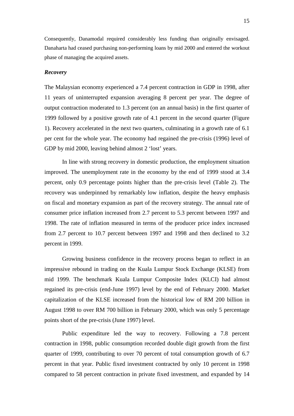Consequently, Danamodal required considerably less funding than originally envisaged. Danaharta had ceased purchasing non-performing loans by mid 2000 and entered the workout phase of managing the acquired assets.

#### *Recovery*

The Malaysian economy experienced a 7.4 percent contraction in GDP in 1998, after 11 years of uninterrupted expansion averaging 8 percent per year. The degree of output contraction moderated to 1.3 percent (on an annual basis) in the first quarter of 1999 followed by a positive growth rate of 4.1 percent in the second quarter (Figure 1). Recovery accelerated in the next two quarters, culminating in a growth rate of 6.1 per cent for the whole year. The economy had regained the pre-crisis (1996) level of GDP by mid 2000, leaving behind almost 2 'lost' years.

In line with strong recovery in domestic production, the employment situation improved. The unemployment rate in the economy by the end of 1999 stood at 3.4 percent, only 0.9 percentage points higher than the pre-crisis level (Table 2). The recovery was underpinned by remarkably low inflation, despite the heavy emphasis on fiscal and monetary expansion as part of the recovery strategy. The annual rate of consumer price inflation increased from 2.7 percent to 5.3 percent between 1997 and 1998. The rate of inflation measured in terms of the producer price index increased from 2.7 percent to 10.7 percent between 1997 and 1998 and then declined to 3.2 percent in 1999.

Growing business confidence in the recovery process began to reflect in an impressive rebound in trading on the Kuala Lumpur Stock Exchange (KLSE) from mid 1999. The benchmark Kuala Lumpur Composite Index (KLCI) had almost regained its pre-crisis (end-June 1997) level by the end of February 2000. Market capitalization of the KLSE increased from the historical low of RM 200 billion in August 1998 to over RM 700 billion in February 2000, which was only 5 percentage points short of the pre-crisis (June 1997) level.

Public expenditure led the way to recovery. Following a 7.8 percent contraction in 1998, public consumption recorded double digit growth from the first quarter of 1999, contributing to over 70 percent of total consumption growth of 6.7 percent in that year. Public fixed investment contracted by only 10 percent in 1998 compared to 58 percent contraction in private fixed investment, and expanded by 14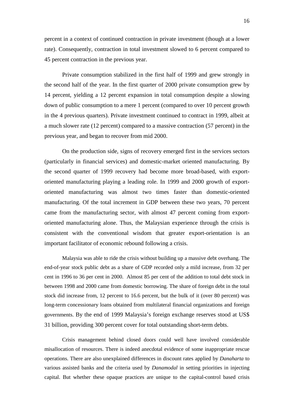percent in a context of continued contraction in private investment (though at a lower rate). Consequently, contraction in total investment slowed to 6 percent compared to 45 percent contraction in the previous year.

Private consumption stabilized in the first half of 1999 and grew strongly in the second half of the year. In the first quarter of 2000 private consumption grew by 14 percent, yielding a 12 percent expansion in total consumption despite a slowing down of public consumption to a mere 1 percent (compared to over 10 percent growth in the 4 previous quarters). Private investment continued to contract in 1999, albeit at a much slower rate (12 percent) compared to a massive contraction (57 percent) in the previous year, and began to recover from mid 2000.

On the production side, signs of recovery emerged first in the services sectors (particularly in financial services) and domestic-market oriented manufacturing. By the second quarter of 1999 recovery had become more broad-based, with exportoriented manufacturing playing a leading role. In 1999 and 2000 growth of exportoriented manufacturing was almost two times faster than domestic-oriented manufacturing. Of the total increment in GDP between these two years, 70 percent came from the manufacturing sector, with almost 47 percent coming from exportoriented manufacturing alone. Thus, the Malaysian experience through the crisis is consistent with the conventional wisdom that greater export-orientation is an important facilitator of economic rebound following a crisis.

Malaysia was able to ride the crisis without building up a massive debt overhang. The end-of-year stock public debt as a share of GDP recorded only a mild increase, from 32 per cent in 1996 to 36 per cent in 2000. Almost 85 per cent of the addition to total debt stock in between 1998 and 2000 came from domestic borrowing. The share of foreign debt in the total stock did increase from, 12 percent to 16.6 percent, but the bulk of it (over 80 percent) was long-term concessionary loans obtained from multilateral financial organizations and foreign governments. By the end of 1999 Malaysia's foreign exchange reserves stood at US\$ 31 billion, providing 300 percent cover for total outstanding short-term debts.

Crisis management behind closed doors could well have involved considerable misallocation of resources. There is indeed anecdotal evidence of some inappropriate rescue operations. There are also unexplained differences in discount rates applied by *Danaharta* to various assisted banks and the criteria used by *Danamodal* in setting priorities in injecting capital. But whether these opaque practices are unique to the capital-control based crisis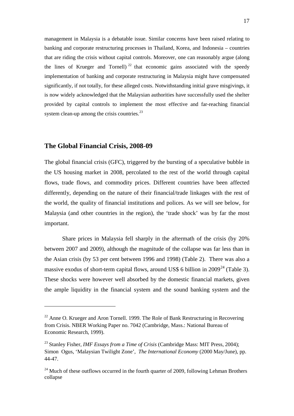management in Malaysia is a debatable issue. Similar concerns have been raised relating to banking and corporate restructuring processes in Thailand, Korea, and Indonesia – countries that are riding the crisis without capital controls. Moreover, one can reasonably argue (along the lines of Krueger and Tornell)<sup>[22](#page-21-0)</sup> that economic gains associated with the speedy implementation of banking and corporate restructuring in Malaysia might have compensated significantly, if not totally, for these alleged costs. Notwithstanding initial grave misgivings, it is now widely acknowledged that the Malaysian authorities have successfully used the shelter provided by capital controls to implement the most effective and far-reaching financial system clean-up among the crisis countries. $^{23}$  $^{23}$  $^{23}$ 

#### **The Global Financial Crisis, 2008-09**

<u>.</u>

The global financial crisis (GFC), triggered by the bursting of a speculative bubble in the US housing market in 2008, percolated to the rest of the world through capital flows, trade flows, and commodity prices. Different countries have been affected differently, depending on the nature of their financial/trade linkages with the rest of the world, the quality of financial institutions and polices. As we will see below, for Malaysia (and other countries in the region), the 'trade shock' was by far the most important.

 Share prices in Malaysia fell sharply in the aftermath of the crisis (by 20% between 2007 and 2009), although the magnitude of the collapse was far less than in the Asian crisis (by 53 per cent between 1996 and 1998) (Table 2). There was also a massive exodus of short-term capital flows, around US\$ 6 billion in  $2009^{24}$  $2009^{24}$  $2009^{24}$  (Table 3). These shocks were however well absorbed by the domestic financial markets, given the ample liquidity in the financial system and the sound banking system and the

<span id="page-21-0"></span> $^{22}$  Anne O. Krueger and Aron Tornell. 1999. The Role of Bank Restructuring in Recovering from Crisis. NBER Working Paper no. 7042 (Cambridge, Mass.: National Bureau of Economic Research, 1999).

<span id="page-21-1"></span><sup>23</sup> Stanley Fisher, *IMF Essays from a Time of Crisis* (Cambridge Mass: MIT Press, 2004); Simon Ogus, 'Malaysian Twilight Zone', *The International Economy* (2000 May/June), pp. 44-47.

<span id="page-21-2"></span> $^{24}$  Much of these outflows occurred in the fourth quarter of 2009, following Lehman Brothers collapse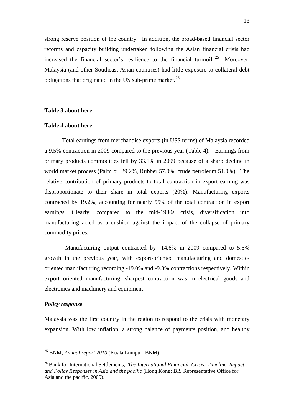strong reserve position of the country. In addition, the broad-based financial sector reforms and capacity building undertaken following the Asian financial crisis had increased the financial sector's resilience to the financial turmoil. [25](#page-22-0) Moreover, Malaysia (and other Southeast Asian countries) had little exposure to collateral debt obligations that originated in the US sub-prime market.<sup>[26](#page-22-1)</sup>

#### **Table 3 about here**

#### **Table 4 about here**

Total earnings from merchandise exports (in US\$ terms) of Malaysia recorded a 9.5% contraction in 2009 compared to the previous year (Table 4). Earnings from primary products commodities fell by 33.1% in 2009 because of a sharp decline in world market process (Palm oil 29.2%, Rubber 57.0%, crude petroleum 51.0%). The relative contribution of primary products to total contraction in export earning was disproportionate to their share in total exports (20%). Manufacturing exports contracted by 19.2%, accounting for nearly 55% of the total contraction in export earnings. Clearly, compared to the mid-1980s crisis, diversification into manufacturing acted as a cushion against the impact of the collapse of primary commodity prices.

 Manufacturing output contracted by -14.6% in 2009 compared to 5.5% growth in the previous year, with export-oriented manufacturing and domesticoriented manufacturing recording -19.0% and -9.8% contractions respectively. Within export oriented manufacturing, sharpest contraction was in electrical goods and electronics and machinery and equipment.

#### *Policy response*

<u>.</u>

Malaysia was the first country in the region to respond to the crisis with monetary expansion. With low inflation, a strong balance of payments position, and healthy

<span id="page-22-0"></span><sup>25</sup> BNM, *Annual report 2010* (Kuala Lumpur: BNM).

<span id="page-22-1"></span><sup>26</sup> Bank for International Settlements, *The International Financial Crisis: Timeline, Impact and Policy Responses in Asia and the pacific* (Hong Kong: BIS Representative Office for Asia and the pacific, 2009).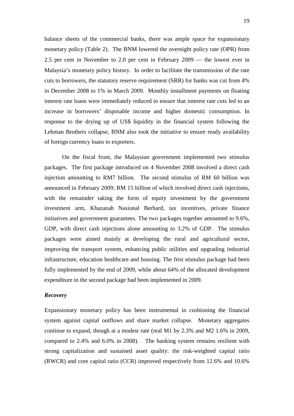balance sheets of the commercial banks, there was ample space for expansionary monetary policy (Table 2). The BNM lowered the overnight policy rate (OPR) from 2.5 per cent in November to 2.0 per cent in February  $2009$  — the lowest ever in Malaysia's monetary policy history. In order to facilitate the transmission of the rate cuts to borrowers, the statutory reserve requirement (SRR) for banks was cut from 4% in December 2008 to 1% in March 2009. Monthly installment payments on floating interest rate loans were immediately reduced to ensure that interest rate cuts led to an increase in borrowers' disposable income and higher domestic consumption. In response to the drying up of US\$ liquidity in the financial system following the Lehman Brothers collapse, BNM also took the initiative to ensure ready availability of foreign currency loans to exporters.

On the fiscal front, the Malaysian government implemented two stimulus packages. The first package introduced on 4 November 2008 involved a direct cash injection amounting to RM7 billion. The second stimulus of RM 60 billion was announced in February 2009; RM 15 billion of which involved direct cash injections, with the remainder taking the form of equity investment by the government investment arm, Khazanah Nasional Berhard, tax incentives, private finance initiatives and government guarantees. The two packages together amounted to 9.6%, GDP, with direct cash injections alone amounting to 3.2% of GDP. The stimulus packages were aimed mainly at developing the rural and agricultural sector, improving the transport system, enhancing public utilities and upgrading industrial infrastructure, education healthcare and housing. The first stimulus package had been fully implemented by the end of 2009, while about 64% of the allocated development expenditure in the second package had been implemented in 2009.

#### *Recovery*

Expansionary monetary policy has been instrumental in cushioning the financial system against capital outflows and share market collapse. Monetary aggregates continue to expand, though at a modest rate (real M1 by 2.3% and M2 1.6% in 2009, compared to 2.4% and 6.0% in 2008). The banking system remains resilient with strong capitalization and sustained asset quality: the risk-weighted capital ratio (RWCR) and core capital ratio (CCR) improved respectively from 12.6% and 10.6%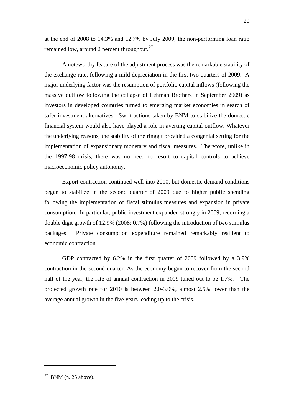at the end of 2008 to 14.3% and 12.7% by July 2009; the non-performing loan ratio remained low, around 2 percent throughout.<sup>[27](#page-24-0)</sup>

A noteworthy feature of the adjustment process was the remarkable stability of the exchange rate, following a mild depreciation in the first two quarters of 2009. A major underlying factor was the resumption of portfolio capital inflows (following the massive outflow following the collapse of Lehman Brothers in September 2009) as investors in developed countries turned to emerging market economies in search of safer investment alternatives. Swift actions taken by BNM to stabilize the domestic financial system would also have played a role in averting capital outflow. Whatever the underlying reasons, the stability of the ringgit provided a congenial setting for the implementation of expansionary monetary and fiscal measures. Therefore, unlike in the 1997-98 crisis, there was no need to resort to capital controls to achieve macroeconomic policy autonomy.

Export contraction continued well into 2010, but domestic demand conditions began to stabilize in the second quarter of 2009 due to higher public spending following the implementation of fiscal stimulus measures and expansion in private consumption. In particular, public investment expanded strongly in 2009, recording a double digit growth of 12.9% (2008: 0.7%) following the introduction of two stimulus packages. Private consumption expenditure remained remarkably resilient to economic contraction.

GDP contracted by 6.2% in the first quarter of 2009 followed by a 3.9% contraction in the second quarter. As the economy begun to recover from the second half of the year, the rate of annual contraction in 2009 tuned out to be 1.7%. The projected growth rate for 2010 is between 2.0-3.0%, almost 2.5% lower than the average annual growth in the five years leading up to the crisis.

.

<span id="page-24-0"></span> $27$  BNM (n. 25 above).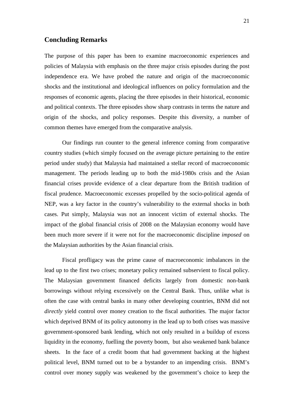#### **Concluding Remarks**

The purpose of this paper has been to examine macroeconomic experiences and policies of Malaysia with emphasis on the three major crisis episodes during the post independence era. We have probed the nature and origin of the macroeconomic shocks and the institutional and ideological influences on policy formulation and the responses of economic agents, placing the three episodes in their historical, economic and political contexts. The three episodes show sharp contrasts in terms the nature and origin of the shocks, and policy responses. Despite this diversity, a number of common themes have emerged from the comparative analysis.

Our findings run counter to the general inference coming from comparative country studies (which simply focused on the average picture pertaining to the entire period under study) that Malaysia had maintained a stellar record of macroeconomic management. The periods leading up to both the mid-1980s crisis and the Asian financial crises provide evidence of a clear departure from the British tradition of fiscal prudence. Macroeconomic excesses propelled by the socio-political agenda of NEP, was a key factor in the country's vulnerability to the external shocks in both cases. Put simply, Malaysia was not an innocent victim of external shocks. The impact of the global financial crisis of 2008 on the Malaysian economy would have been much more severe if it were not for the macroeconomic discipline *imposed* on the Malaysian authorities by the Asian financial crisis.

Fiscal profligacy was the prime cause of macroeconomic imbalances in the lead up to the first two crises; monetary policy remained subservient to fiscal policy. The Malaysian government financed deficits largely from domestic non-bank borrowings without relying excessively on the Central Bank. Thus, unlike what is often the case with central banks in many other developing countries, BNM did not *directly* yield control over money creation to the fiscal authorities. The major factor which deprived BNM of its policy autonomy in the lead up to both crises was massive government-sponsored bank lending, which not only resulted in a buildup of excess liquidity in the economy, fuelling the poverty boom, but also weakened bank balance sheets. In the face of a credit boom that had government backing at the highest political level, BNM turned out to be a bystander to an impending crisis. BNM's control over money supply was weakened by the government's choice to keep the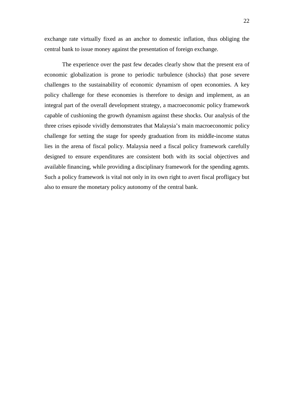exchange rate virtually fixed as an anchor to domestic inflation, thus obliging the central bank to issue money against the presentation of foreign exchange.

The experience over the past few decades clearly show that the present era of economic globalization is prone to periodic turbulence (shocks) that pose severe challenges to the sustainability of economic dynamism of open economies. A key policy challenge for these economies is therefore to design and implement, as an integral part of the overall development strategy, a macroeconomic policy framework capable of cushioning the growth dynamism against these shocks. Our analysis of the three crises episode vividly demonstrates that Malaysia's main macroeconomic policy challenge for setting the stage for speedy graduation from its middle-income status lies in the arena of fiscal policy. Malaysia need a fiscal policy framework carefully designed to ensure expenditures are consistent both with its social objectives and available financing, while providing a disciplinary framework for the spending agents. Such a policy framework is vital not only in its own right to avert fiscal profligacy but also to ensure the monetary policy autonomy of the central bank.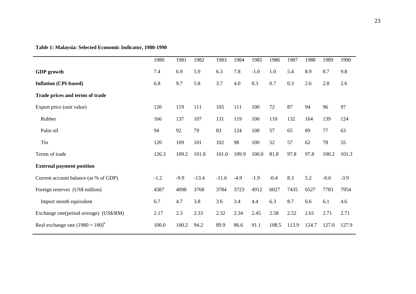**Table 1: Malaysia: Selected Economic Indicator, 1980-1990**

| 1980   | 1981   | 1982    | 1983    | 1984   | 1985   | 1986   | 1987  | 1988  | 1989   | 1990   |
|--------|--------|---------|---------|--------|--------|--------|-------|-------|--------|--------|
| 7.4    | 6.9    | 5.9     | 6.3     | 7.8    | $-1.0$ | 1.0    | 5.4   | 8.9   | 8.7    | 9.8    |
| 6.8    | 9.7    | 5.8     | 3.7     | 4.0    | 0.3    | 0.7    | 0.3   | 2.6   | 2.8    | 2.6    |
|        |        |         |         |        |        |        |       |       |        |        |
| 120    | 119    | 111     | 105     | 111    | 100    | 72     | 87    | 94    | 96     | 97     |
| 166    | 137    | 107     | 131     | 119    | 100    | 110    | 132   | 164   | 139    | 124    |
| 94     | 92     | 79      | 83      | 124    | 100    | 57     | 65    | 89    | 77     | 63     |
| 120    | 109    | 101     | 102     | 98     | 100    | 52     | 57    | 62    | 78     | 55     |
| 126.3  | 109.2  | 101.8   | 101.0   | 109.9  | 100.0  | 81.8   | 97.8  | 97.8  | 100.2  | 101.3  |
|        |        |         |         |        |        |        |       |       |        |        |
| $-1.2$ | $-9.9$ | $-13.4$ | $-11.6$ | $-4.9$ | $-1.9$ | $-0.4$ | 8.3   | 5.2   | $-0.6$ | $-3.9$ |
| 4387   | 4098   | 3768    | 3784    | 3723   | 4912   | 6027   | 7435  | 6527  | 7783   | 7954   |
| 6.7    | 4.7    | 3.8     | 3.6     | 3.4    | 4.4    | 6.3    | 8.7   | 6.6   | 6.1    | 4.6    |
| 2.17   | 2.3    | 2.33    | 2.32    | 2.34   | 2.45   | 2.58   | 2.52  | 2.61  | 2.71   | 2.71   |
| 100.0  | 100.2  | 94.2    | 89.9    | 86.6   | 91.1   | 108.5  | 113.9 | 124.7 | 127.0  | 127.9  |
|        |        |         |         |        |        |        |       |       |        |        |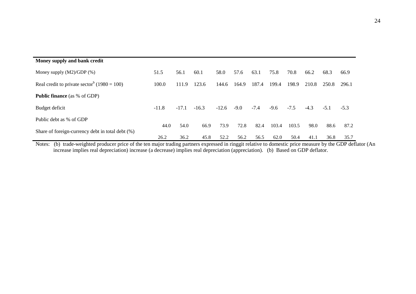| Money supply and bank credit                            |              |              |              |              |              |              |               |               |              |              |              |
|---------------------------------------------------------|--------------|--------------|--------------|--------------|--------------|--------------|---------------|---------------|--------------|--------------|--------------|
| Money supply $(M2)/GDP$ $%$ )                           | 51.5         | 56.1         | 60.1         | 58.0         | 57.6         | 63.1         | 75.8          | 70.8          | 66.2         | 68.3         | 66.9         |
| Real credit to private sector <sup>b</sup> (1980 = 100) | 100.0        | 111.9        | 123.6        | 144.6        | 164.9        | 187.4        | 199.4         | 198.9         | 210.8        | 250.8        | 296.1        |
| <b>Public finance</b> (as % of GDP)                     |              |              |              |              |              |              |               |               |              |              |              |
| Budget deficit                                          | $-11.8$      | $-17.1$      | $-16.3$      | $-12.6$      | $-9.0$       | $-7.4$       | $-9.6$        | $-7.5$        | $-4.3$       | $-5.1$       | $-5.3$       |
| Public debt as % of GDP                                 |              |              |              |              |              |              |               |               |              |              |              |
| Share of foreign-currency debt in total debt (%)        | 44.0<br>26.2 | 54.0<br>36.2 | 66.9<br>45.8 | 73.9<br>52.2 | 72.8<br>56.2 | 82.4<br>56.5 | 103.4<br>62.0 | 103.5<br>50.4 | 98.0<br>41.1 | 88.6<br>36.8 | 87.2<br>35.7 |

Notes: (b) trade-weighted producer price of the ten major trading partners expressed in ringgit relative to domestic price measure by the GDP deflator (An increase implies real depreciation) increase (a decrease) implies real depreciation (appreciation). (b) Based on GDP deflator.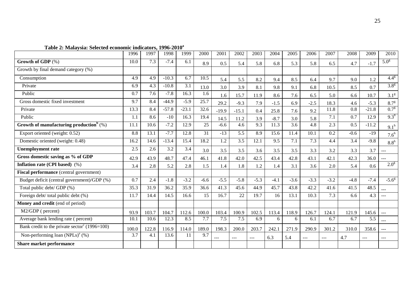|                                                           | 1996  | 1997  | 1998    | 1999    | 2000   | 2001    | 2002    | 2003   | 2004   | 2005   | 2006   | 2007   | 2008   | 2009    | 2010                |
|-----------------------------------------------------------|-------|-------|---------|---------|--------|---------|---------|--------|--------|--------|--------|--------|--------|---------|---------------------|
| Growth of GDP (%)                                         | 10.0  | 7.3   | $-7.4$  | 6.1     | 8.9    | 0.5     | 5.4     | 5.8    | 6.8    | 5.3    | 5.8    | 6.5    | 4.7    | $-1.7$  | 5.0 <sup>g</sup>    |
| Growth by final demand category (%)                       |       |       |         |         |        |         |         |        |        |        |        |        |        |         |                     |
| Consumption                                               | 4.9   | 4.9   | $-10.3$ | 6.7     | 10.5   | 5.4     | 5.5     | 8.2    | 9.4    | 8.5    | 6.4    | 9.7    | 9.0    | 1.2     | $4.4^{8}$           |
| Private                                                   | 6.9   | 4.3   | $-10.8$ | 3.1     | 13.0   | 3.0     | 3.9     | 8.1    | 9.8    | 9.1    | 6.8    | 10.5   | 8.5    | 0.7     | 3.8 <sup>g</sup>    |
| Public                                                    | 0.7   | 7.6   | $-7.8$  | 16.3    | 1.6    | 1.6     | 15.7    | 11.9   | 8.6    | 7.6    | 6.5    | 5.0    | 6.6    | 10.7    | 3.1 <sup>g</sup>    |
| Gross domestic fixed investment                           | 9.7   | 8.4   | $-44.9$ | $-5.9$  | 25.7   | 29.2    | $-9.3$  | 7.9    | $-1.5$ | 6.9    | $-2.5$ | 18.3   | 4.6    | $-5.3$  | 8.7 <sup>g</sup>    |
| Private                                                   | 13.3  | 8.4   | $-57.8$ | $-23.1$ | 32.6   | $-19.9$ | $-15.1$ | 0.4    | 25.8   | 7.6    | 9.2    | 11.8   | 0.8    | $-21.8$ | 0.7 <sup>g</sup>    |
| Public                                                    | 1.1   | 8.6   | $-10$   | 16.3    | 19.4   | 14.5    | 11.2    | 3.9    | $-8.7$ | 3.0    | 5.8    | 7.1    | 0.7    | 12.9    | $9.3^{8}$           |
| Growth of manufacturing production <sup>b</sup> $(\%)$    | 11.1  | 10.6  | $-7.2$  | 12.9    | 25     | $-6.6$  | 4.6     | 9.3    | 11.3   | 3.6    | 4.8    | 2.3    | 0.5    | $-11.2$ | $9.1^h$             |
| Export oriented (weight: 0.52)                            | 8.8   | 13.1  | $-7.7$  | 12.8    | 31     | $-13$   | 5.5     | 8.9    | 15.6   | 11.4   | 10.1   | 0.2    | $-0.6$ | $-19$   | 7.6 <sup>h</sup>    |
| Domestic oriented (weight: 0.48)                          | 16.2  | 14.6  | $-13.4$ | 15.4    | 18.2   | 1.2     | 3.5     | 12.1   | 9.5    | 7.1    | 7.3    | 4.4    | 3.4    | $-9.8$  | 8.8 <sup>h</sup>    |
| <b>Unemployment rate</b>                                  | 2.5   | 2.6   | 3.2     | 3.4     | 3.0    | 3.5     | 3.5     | 3.6    | 3.5    | 3.5    | 3.3    | 3.2    | 3.3    | 3.7     | $\qquad \qquad - -$ |
| Gross domestic saving as % of GDP                         | 42.9  | 43.9  | 48.7    | 47.4    | 46.1   | 41.8    | 42.0    | 42.5   | 43.4   | 42.8   | 43.1   | 42.1   | 42.3   | 36.0    | ---                 |
| Inflation rate (CPI based) (%)                            | 3.4   | 2.8   | 5.2     | 2.8     | 1.5    | 1.4     | 1.8     | 1.2    | 1.4    | 3.1    | 3.6    | 2.0    | 5.4    | 0.6     | 2.0 <sup>g</sup>    |
| Fiscal performance (central government)                   |       |       |         |         |        |         |         |        |        |        |        |        |        |         |                     |
| Budget deficit (central government)/GDP (%)               | 0.7   | 2.4   | $-1.8$  | $-3.2$  | $-6.6$ | $-5.5$  | $-5.8$  | $-5.3$ | $-4.1$ | $-3.6$ | $-3.3$ | $-3.2$ | $-4.8$ | $-7.4$  | $-5.6^{\circ}$      |
| Total public debt/ GDP (%)                                | 35.3  | 31.9  | 36.2    | 35.9    | 36.6   | 41.3    | 45.6    | 44.9   | 45.7   | 43.8   | 42.2   | 41.6   | 41.5   | 48.5    | ---                 |
| Foreign debt/ total public debt (%)                       | 11.7  | 14.4  | 14.5    | 16.6    | 15     | 16.7    | 22      | 19.7   | 16     | 13.1   | 10.3   | 7.3    | 6.6    | 4.3     | $\frac{1}{2}$       |
| Money and credit (end of period)                          |       |       |         |         |        |         |         |        |        |        |        |        |        |         |                     |
| M2/GDP (percent)                                          | 93.9  | 103.7 | 104.7   | 112.6   | 100.0  | 103.4   | 100.9   | 102.5  | 113.4  | 118.9  | 126.7  | 124.1  | 121.9  | 145.6   | ---                 |
| Average bank lending rate (percent)                       | 10.1  | 10.6  | 12.3    | 8.5     | 7.7    | 7.5     | 7.5     | 6.9    | 6      | 6      | 6.1    | 6.7    | 6.7    | 5.5     | $---$               |
| Bank credit to the private sector <sup>c</sup> (1996=100) | 100.0 | 122.8 | 116.9   | 114.0   | 189.0  | 198.3   | 200.0   | 203.7  | 242.1  | 271.9  | 290.9  | 301.2  | 310.0  | 358.6   | $---$               |
| Non-performing loan $(NPLs)^e$ (%)                        | 3.7   | 4.1   | 13.6    | 11      | 9.7    | $---$   | $---$   | $---$  | 6.3    | 5.4    | $---$  | ---    | 4.7    | ---     | ---                 |
| Share market performance                                  |       |       |         |         |        |         |         |        |        |        |        |        |        |         |                     |

**Table 2: Malaysia: Selected economic indicators, 1996-2010a**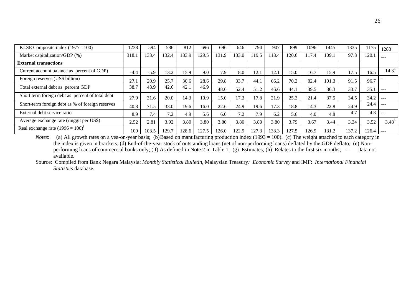| KLSE Composite index $(1977 = 100)$              | 1238   | 594    | 586   | 812   | 696   | 696   | 646   | 794   | 907   | 899   | 1096 | 1445  | 1335  | 1175  | 1283     |
|--------------------------------------------------|--------|--------|-------|-------|-------|-------|-------|-------|-------|-------|------|-------|-------|-------|----------|
| Market capitalization/GDP (%)                    | 318.   | 133.4  | 132.4 | 183.9 | 129.5 | 131.9 | 133.0 | 119.5 | 118.4 | 120.6 | 17.4 | 109.1 | 97.3  | 120.1 |          |
| <b>External transactions</b>                     |        |        |       |       |       |       |       |       |       |       |      |       |       |       |          |
| Current account balance as percent of GDP)       | $-4.4$ | $-5.9$ | 13.2  | 15.9  | 9.0   | 7.9   | 8.0   | 12.1  | 12.1  | 15.0  | 16.7 | 15.9  | 17.5  | 16.5  | $14.3^h$ |
| Foreign reserves (US\$ billion)                  | 27.1   | 20.9   | 25.7  | 30.6  | 28.6  | 29.8  | 33.7  | 44.1  | 66.2  | 70.2  | 82.4 | 101.3 | 91.5  | 96.7  |          |
| Total external debt as percent GDP               | 38.7   | 43.9   | 42.6  | 42.1  | 46.9  | 48.6  | 52.4  | 51.2  | 46.6  | 44.1  | 39.5 | 36.3  | 33.7  | 35.1  |          |
| Short term foreign debt as percent of total debt | 27.9   | 31.6   | 20.0  | 14.3  | 10.9  | 15.0  | 17.3  | 17.8  | 21.9  | 25.3  | 21.4 | 37.5  | 34.5  | 34.2  | $---$    |
| Short-term foreign debt as % of foreign reserves | 40.8   | 71.5   | 33.0  | 19.6  | 16.0  | 22.6  | 24.9  | 19.6  | 17.3  | 18.8  | 14.3 | 22.8  | 24.9  | 24.4  | ---      |
| External debt service ratio                      | 8.9    | 7.4    | 7.2   | 4.9   | 5.6   | 6.0   | 7.2   | 7.9   | 6.2   | 5.6   | 4.0  | 4.8   | 4.7   | 4.8   |          |
| Average exchange rate (ringgit per US\$)         | 2.52   | 2.81   | 3.92  | 3.80  | 3.80  | 3.80  | 3.80  | 3.80  | 3.80  | 3.79  | 3.67 | 3.44  | 3.34  | 3.52  | $3.48^h$ |
| Real exchange rate $(1996 = 100)^f$              | 100    | 103.5  | 129.7 | 128.6 | 127.5 | 126.0 | 122.9 | 127.3 | 133.3 | 127.5 | 26.9 | 131.2 | 137.2 | 126.4 | $---$    |

*Notes*: (a) All growth rates on a yea-on-year basis; (b)Based on manufacturing production index (1993 = 100). (c) The weight attached to each category in the index is given in brackets; (d) End-of-the-year stock of outstanding loans (net of non-performing loans) deflated by the GDP deflato; (e) Nonperforming loans of commercial banks only; ( f) As defined in Note 2 in Table 1; (g) Estimates; (h) Relates to the first six months; --- Data not available.

Source: Compiled from Bank Negara Malaysia: *Monthly Statistical Bulletin*, Malaysian Treasury*: Economic Survey* and IMF: *International Financial Statistics* database.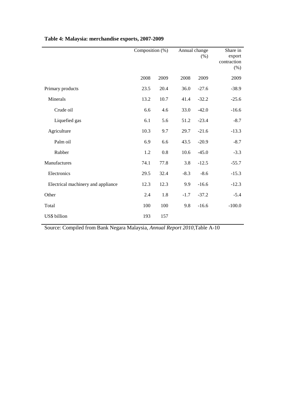|                                    | Composition (%) |      | Annual change | (% )    | Share in<br>export<br>contraction<br>$(\% )$ |
|------------------------------------|-----------------|------|---------------|---------|----------------------------------------------|
|                                    | 2008            | 2009 | 2008          | 2009    | 2009                                         |
| Primary products                   | 23.5            | 20.4 | 36.0          | $-27.6$ | $-38.9$                                      |
| Minerals                           | 13.2            | 10.7 | 41.4          | $-32.2$ | $-25.6$                                      |
| Crude oil                          | 6.6             | 4.6  | 33.0          | $-42.0$ | $-16.6$                                      |
| Liquefied gas                      | 6.1             | 5.6  | 51.2          | $-23.4$ | $-8.7$                                       |
| Agriculture                        | 10.3            | 9.7  | 29.7          | $-21.6$ | $-13.3$                                      |
| Palm oil                           | 6.9             | 6.6  | 43.5          | $-20.9$ | $-8.7$                                       |
| Rubber                             | 1.2             | 0.8  | 10.6          | $-45.0$ | $-3.3$                                       |
| Manufactures                       | 74.1            | 77.8 | 3.8           | $-12.5$ | $-55.7$                                      |
| Electronics                        | 29.5            | 32.4 | $-8.3$        | $-8.6$  | $-15.3$                                      |
| Electrical machinery and appliance | 12.3            | 12.3 | 9.9           | $-16.6$ | $-12.3$                                      |
| Other                              | 2.4             | 1.8  | $-1.7$        | $-37.2$ | $-5.4$                                       |
| Total                              | 100             | 100  | 9.8           | $-16.6$ | $-100.0$                                     |
| US\$ billion                       | 193             | 157  |               |         |                                              |

## **Table 4: Malaysia: merchandise exports, 2007-2009**

Source: Compiled from Bank Negara Malaysia, *Annual Report 2010*,Table A-10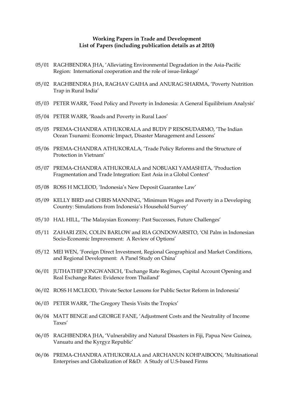#### **Working Papers in Trade and Development List of Papers (including publication details as at 2010)**

- 05/01 RAGHBENDRA JHA, 'Alleviating Environmental Degradation in the Asia-Pacific Region: International cooperation and the role of issue-linkage'
- 05/02 RAGHBENDRA JHA, RAGHAV GAIHA and ANURAG SHARMA, 'Poverty Nutrition Trap in Rural India'
- 05/03 PETER WARR, 'Food Policy and Poverty in Indonesia: A General Equilibrium Analysis'
- 05/04 PETER WARR, 'Roads and Poverty in Rural Laos'
- 05/05 PREMA-CHANDRA ATHUKORALA and BUDY P RESOSUDARMO, 'The Indian Ocean Tsunami: Economic Impact, Disaster Management and Lessons'
- 05/06 PREMA-CHANDRA ATHUKORALA, 'Trade Policy Reforms and the Structure of Protection in Vietnam'
- 05/07 PREMA-CHANDRA ATHUKORALA and NOBUAKI YAMASHITA, 'Production Fragmentation and Trade Integration: East Asia in a Global Context'
- 05/08 ROSS H MCLEOD, 'Indonesia's New Deposit Guarantee Law'
- 05/09 KELLY BIRD and CHRIS MANNING, 'Minimum Wages and Poverty in a Developing Country: Simulations from Indonesia's Household Survey'
- 05/10 HAL HILL, 'The Malaysian Economy: Past Successes, Future Challenges'
- 05/11 ZAHARI ZEN, COLIN BARLOW and RIA GONDOWARSITO, 'Oil Palm in Indonesian Socio-Economic Improvement: A Review of Options'
- 05/12 MEI WEN, 'Foreign Direct Investment, Regional Geographical and Market Conditions, and Regional Development: A Panel Study on China'
- 06/01 JUTHATHIP JONGWANICH, 'Exchange Rate Regimes, Capital Account Opening and Real Exchange Rates: Evidence from Thailand'
- 06/02 ROSS H MCLEOD, 'Private Sector Lessons for Public Sector Reform in Indonesia'
- 06/03 PETER WARR, 'The Gregory Thesis Visits the Tropics'
- 06/04 MATT BENGE and GEORGE FANE, 'Adjustment Costs and the Neutrality of Income Taxes'
- 06/05 RAGHBENDRA JHA, 'Vulnerability and Natural Disasters in Fiji, Papua New Guinea, Vanuatu and the Kyrgyz Republic'
- 06/06 PREMA-CHANDRA ATHUKORALA and ARCHANUN KOHPAIBOON, 'Multinational Enterprises and Globalization of R&D: A Study of U.S-based Firms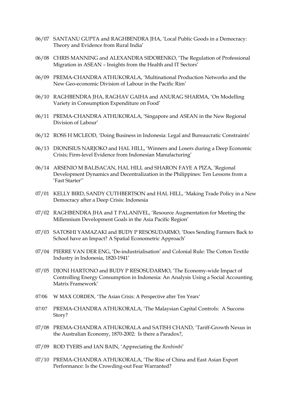- 06/07 SANTANU GUPTA and RAGHBENDRA JHA, 'Local Public Goods in a Democracy: Theory and Evidence from Rural India'
- 06/08 CHRIS MANNING and ALEXANDRA SIDORENKO, 'The Regulation of Professional Migration in ASEAN – Insights from the Health and IT Sectors'
- 06/09 PREMA-CHANDRA ATHUKORALA, 'Multinational Production Networks and the New Geo-economic Division of Labour in the Pacific Rim'
- 06/10 RAGHBENDRA JHA, RAGHAV GAIHA and ANURAG SHARMA, 'On Modelling Variety in Consumption Expenditure on Food'
- 06/11 PREMA-CHANDRA ATHUKORALA, 'Singapore and ASEAN in the New Regional Division of Labour'
- 06/12 ROSS H MCLEOD, 'Doing Business in Indonesia: Legal and Bureaucratic Constraints'
- 06/13 DIONISIUS NARJOKO and HAL HILL, 'Winners and Losers during a Deep Economic Crisis; Firm-level Evidence from Indonesian Manufacturing'
- 06/14 ARSENIO M BALISACAN, HAL HILL and SHARON FAYE A PIZA, 'Regional Development Dynamics and Decentralization in the Philippines: Ten Lessons from a 'Fast Starter''
- 07/01 KELLY BIRD, SANDY CUTHBERTSON and HAL HILL, 'Making Trade Policy in a New Democracy after a Deep Crisis: Indonesia
- 07/02 RAGHBENDRA JHA and T PALANIVEL, 'Resource Augmentation for Meeting the Millennium Development Goals in the Asia Pacific Region'
- 07/03 SATOSHI YAMAZAKI and BUDY P RESOSUDARMO, 'Does Sending Farmers Back to School have an Impact? A Spatial Econometric Approach'
- 07/04 PIERRE VAN DER ENG, 'De-industrialisation' and Colonial Rule: The Cotton Textile Industry in Indonesia, 1820-1941'
- 07/05 DJONI HARTONO and BUDY P RESOSUDARMO, 'The Economy-wide Impact of Controlling Energy Consumption in Indonesia: An Analysis Using a Social Accounting Matrix Framework'
- 07/06 W MAX CORDEN, 'The Asian Crisis: A Perspective after Ten Years'
- 07/07 PREMA-CHANDRA ATHUKORALA, 'The Malaysian Capital Controls: A Success Story?
- 07/08 PREMA-CHANDRA ATHUKORALA and SATISH CHAND, 'Tariff-Growth Nexus in the Australian Economy, 1870-2002: Is there a Paradox?,
- 07/09 ROD TYERS and IAN BAIN, 'Appreciating the *Renbimbi*'
- 07/10 PREMA-CHANDRA ATHUKORALA, 'The Rise of China and East Asian Export Performance: Is the Crowding-out Fear Warranted?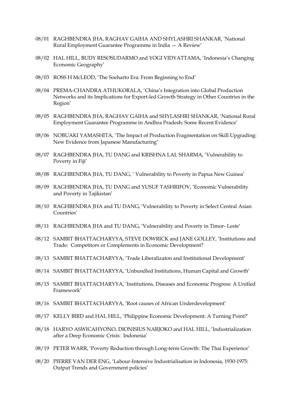- 08/01 RAGHBENDRA JHA, RAGHAV GAIHA AND SHYLASHRI SHANKAR, 'National Rural Employment Guarantee Programme in India — A Review'
- 08/02 HAL HILL, BUDY RESOSUDARMO and YOGI VIDYATTAMA, 'Indonesia's Changing Economic Geography'
- 08/03 ROSS H McLEOD, 'The Soeharto Era: From Beginning to End'
- 08/04 PREMA-CHANDRA ATHUKORALA, 'China's Integration into Global Production Networks and its Implications for Export-led Growth Strategy in Other Countries in the Region'
- 08/05 RAGHBENDRA JHA, RAGHAV GAIHA and SHYLASHRI SHANKAR, 'National Rural Employment Guarantee Programme in Andhra Pradesh: Some Recent Evidence'
- 08/06 NOBUAKI YAMASHITA, 'The Impact of Production Fragmentation on Skill Upgrading: New Evidence from Japanese Manufacturing'
- 08/07 RAGHBENDRA JHA, TU DANG and KRISHNA LAL SHARMA, 'Vulnerability to Poverty in Fiji'
- 08/08 RAGHBENDRA JHA, TU DANG, ' Vulnerability to Poverty in Papua New Guinea'
- 08/09 RAGHBENDRA JHA, TU DANG and YUSUF TASHRIFOV, 'Economic Vulnerability and Poverty in Tajikistan'
- 08/10 RAGHBENDRA JHA and TU DANG, 'Vulnerability to Poverty in Select Central Asian Countries'
- 08/11 RAGHBENDRA JHA and TU DANG, 'Vulnerability and Poverty in Timor- Leste′
- 08/12 SAMBIT BHATTACHARYYA, STEVE DOWRICK and JANE GOLLEY, 'Institutions and Trade: Competitors or Complements in Economic Development?
- 08/13 SAMBIT BHATTACHARYYA, 'Trade Liberalizaton and Institutional Development'
- 08/14 SAMBIT BHATTACHARYYA, 'Unbundled Institutions, Human Capital and Growth'
- 08/15 SAMBIT BHATTACHARYYA, 'Institutions, Diseases and Economic Progress: A Unified Framework'
- 08/16 SAMBIT BHATTACHARYYA, 'Root causes of African Underdevelopment'
- 08/17 KELLY BIRD and HAL HILL, 'Philippine Economic Development: A Turning Point?'
- 08/18 HARYO ASWICAHYONO, DIONISIUS NARJOKO and HAL HILL, 'Industrialization after a Deep Economic Crisis: Indonesia'
- 08/19 PETER WARR, 'Poverty Reduction through Long-term Growth: The Thai Experience'
- 08/20 PIERRE VAN DER ENG, 'Labour-Intensive Industrialisation in Indonesia, 1930-1975: Output Trends and Government policies'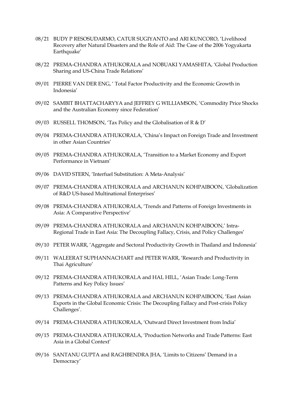- 08/21 BUDY P RESOSUDARMO, CATUR SUGIYANTO and ARI KUNCORO, 'Livelihood Recovery after Natural Disasters and the Role of Aid: The Case of the 2006 Yogyakarta Earthquake'
- 08/22 PREMA-CHANDRA ATHUKORALA and NOBUAKI YAMASHITA, 'Global Production Sharing and US-China Trade Relations'
- 09/01 PIERRE VAN DER ENG, ' Total Factor Productivity and the Economic Growth in Indonesia'
- 09/02 SAMBIT BHATTACHARYYA and JEFFREY G WILLIAMSON, 'Commodity Price Shocks and the Australian Economy since Federation'
- 09/03 RUSSELL THOMSON, 'Tax Policy and the Globalisation of R & D'
- 09/04 PREMA-CHANDRA ATHUKORALA, 'China's Impact on Foreign Trade and Investment in other Asian Countries'
- 09/05 PREMA-CHANDRA ATHUKORALA, 'Transition to a Market Economy and Export Performance in Vietnam'
- 09/06 DAVID STERN, 'Interfuel Substitution: A Meta-Analysis'
- 09/07 PREMA-CHANDRA ATHUKORALA and ARCHANUN KOHPAIBOON, 'Globalization of R&D US-based Multinational Enterprises'
- 09/08 PREMA-CHANDRA ATHUKORALA, 'Trends and Patterns of Foreign Investments in Asia: A Comparative Perspective'
- 09/09 PREMA-CHANDRA ATHUKORALA and ARCHANUN KOHPAIBOON,' Intra-Regional Trade in East Asia: The Decoupling Fallacy, Crisis, and Policy Challenges'
- 09/10 PETER WARR, 'Aggregate and Sectoral Productivity Growth in Thailand and Indonesia'
- 09/11 WALEERAT SUPHANNACHART and PETER WARR, 'Research and Productivity in Thai Agriculture'
- 09/12 PREMA-CHANDRA ATHUKORALA and HAL HILL, 'Asian Trade: Long-Term Patterns and Key Policy Issues'
- 09/13 PREMA-CHANDRA ATHUKORALA and ARCHANUN KOHPAIBOON, 'East Asian Exports in the Global Economic Crisis: The Decoupling Fallacy and Post-crisis Policy Challenges'.
- 09/14 PREMA-CHANDRA ATHUKORALA, 'Outward Direct Investment from India'
- 09/15 PREMA-CHANDRA ATHUKORALA, 'Production Networks and Trade Patterns: East Asia in a Global Context'
- 09/16 SANTANU GUPTA and RAGHBENDRA JHA, 'Limits to Citizens' Demand in a Democracy'